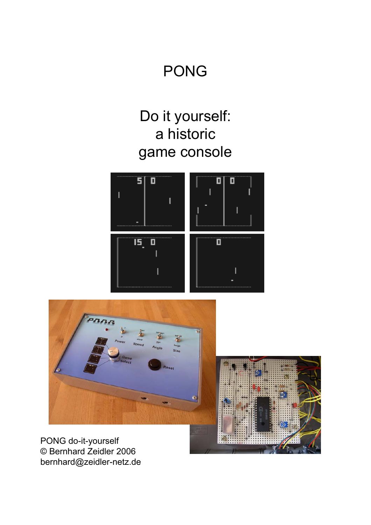#### PONG

## Do it yourself: a historic game console





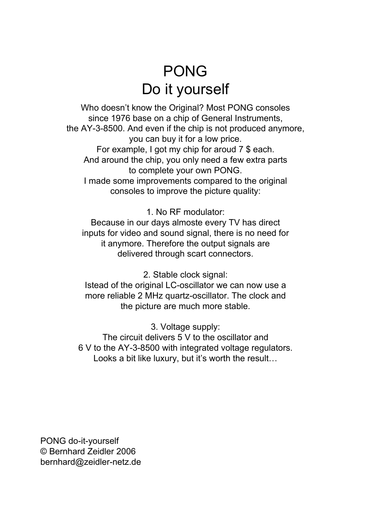## PONG Do it yourself

Who doesn't know the Original? Most PONG consoles since 1976 base on a chip of General Instruments, the AY-3-8500. And even if the chip is not produced anymore, you can buy it for a low price. For example, I got my chip for aroud 7 \$ each. And around the chip, you only need a few extra parts to complete your own PONG. I made some improvements compared to the original consoles to improve the picture quality:

1. No RF modulator:

Because in our days almoste every TV has direct inputs for video and sound signal, there is no need for it anymore. Therefore the output signals are delivered through scart connectors.

2. Stable clock signal:

Istead of the original LC-oscillator we can now use a more reliable 2 MHz quartz-oscillator. The clock and the picture are much more stable.

3. Voltage supply:

The circuit delivers 5 V to the oscillator and 6 V to the AY-3-8500 with integrated voltage regulators. Looks a bit like luxury, but it's worth the result…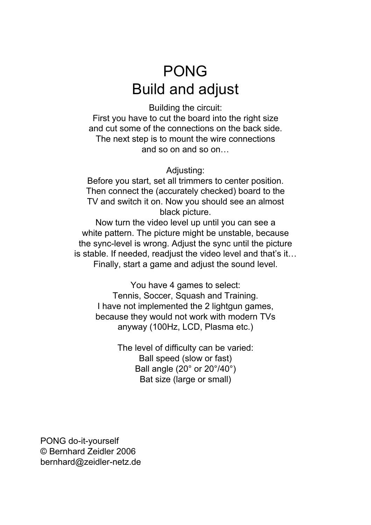## PONG Build and adjust

Building the circuit: First you have to cut the board into the right size and cut some of the connections on the back side. The next step is to mount the wire connections and so on and so on…

Adjusting:

Before you start, set all trimmers to center position. Then connect the (accurately checked) board to the TV and switch it on. Now you should see an almost black picture.

Now turn the video level up until you can see a white pattern. The picture might be unstable, because the sync-level is wrong. Adjust the sync until the picture is stable. If needed, readjust the video level and that's it… Finally, start a game and adjust the sound level.

You have 4 games to select: Tennis, Soccer, Squash and Training. I have not implemented the 2 lightgun games, because they would not work with modern TVs anyway (100Hz, LCD, Plasma etc.)

> The level of difficulty can be varied: Ball speed (slow or fast) Ball angle (20° or 20°/40°) Bat size (large or small)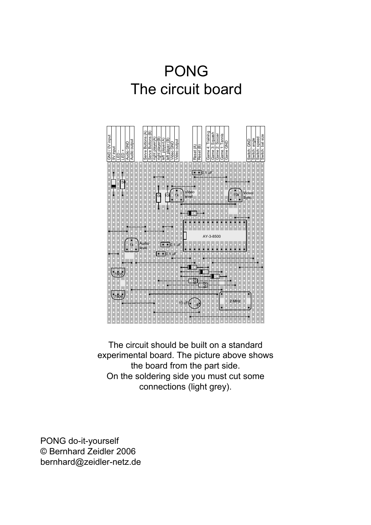# PONG The circuit board



The circuit should be built on a standard experimental board. The picture above shows the board from the part side. On the soldering side you must cut some connections (light grey).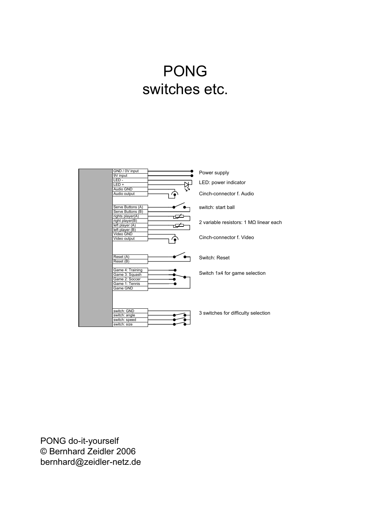## PONG switches etc.

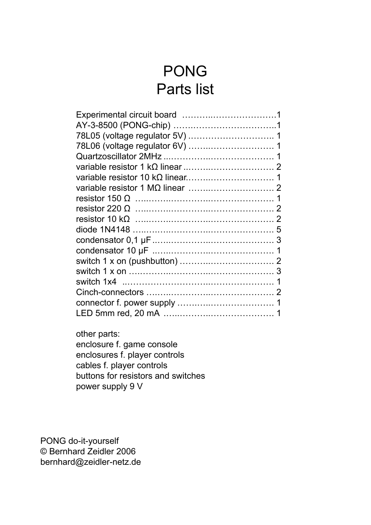## PONG Parts list

other parts: enclosure f. game console enclosures f. player controls cables f. player controls buttons for resistors and switches power supply 9 V